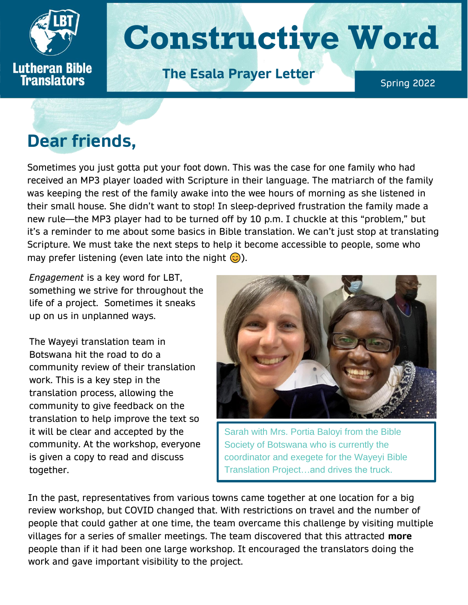

## **Dear friends,**

Sometimes you just gotta put your foot down. This was the case for one family who had received an MP3 player loaded with Scripture in their language. The matriarch of the family was keeping the rest of the family awake into the wee hours of morning as she listened in their small house. She didn't want to stop! In sleep-deprived frustration the family made a new rule—the MP3 player had to be turned off by 10 p.m. I chuckle at this "problem," but it's a reminder to me about some basics in Bible translation. We can't just stop at translating Scripture. We must take the next steps to help it become accessible to people, some who may prefer listening (even late into the night  $\odot$ ).

*Engagement* is a key word for LBT, something we strive for throughout the life of a project. Sometimes it sneaks up on us in unplanned ways.

The Wayeyi translation team in Botswana hit the road to do a community review of their translation work. This is a key step in the translation process, allowing the community to give feedback on the translation to help improve the text so it will be clear and accepted by the community. At the workshop, everyone is given a copy to read and discuss together.



Sarah with Mrs. Portia Baloyi from the Bible Society of Botswana who is currently the coordinator and exegete for the Wayeyi Bible Translation Project…and drives the truck.

In the past, representatives from various towns came together at one location for a big review workshop, but COVID changed that. With restrictions on travel and the number of people that could gather at one time, the team overcame this challenge by visiting multiple villages for a series of smaller meetings. The team discovered that this attracted **more** people than if it had been one large workshop. It encouraged the translators doing the work and gave important visibility to the project.